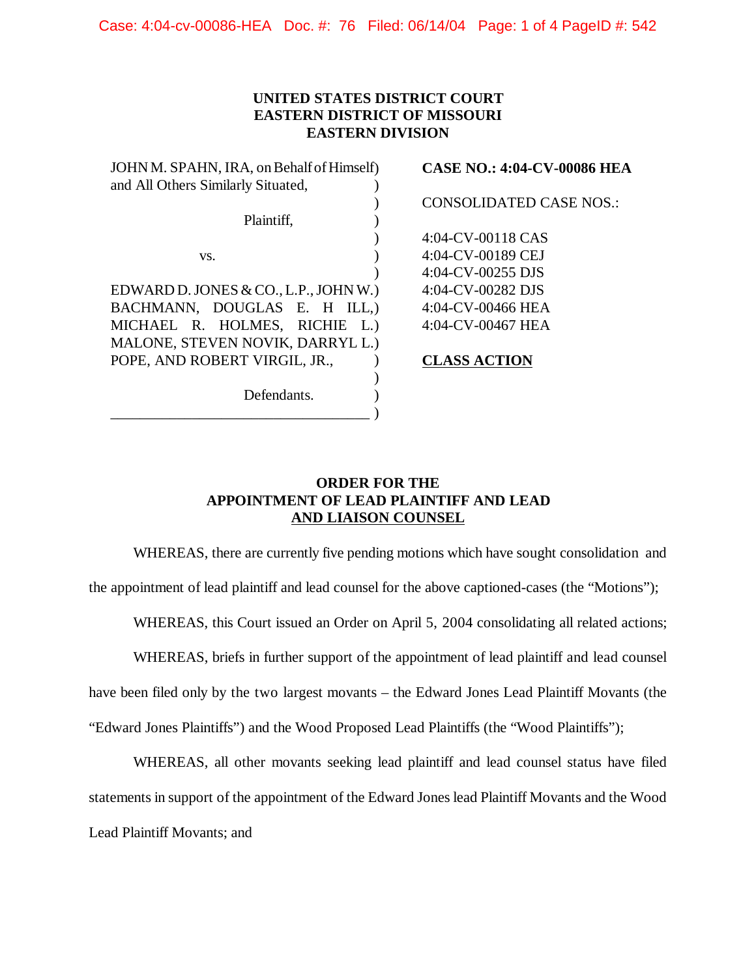Case: 4:04-cv-00086-HEA Doc. #: 76 Filed: 06/14/04 Page: 1 of 4 PageID #: 542

## **UNITED STATES DISTRICT COURT EASTERN DISTRICT OF MISSOURI EASTERN DIVISION**

| JOHN M. SPAHN, IRA, on Behalf of Himself) | <b>CASE NO.: 4:04-CV-00086 HEA</b> |
|-------------------------------------------|------------------------------------|
| and All Others Similarly Situated,        |                                    |
|                                           | <b>CONSOLIDATED CASE NOS.:</b>     |
| Plaintiff,                                |                                    |
|                                           | 4:04-CV-00118 CAS                  |
| VS.                                       | 4:04-CV-00189 CEJ                  |
|                                           | 4:04-CV-00255 DJS                  |
| EDWARD D. JONES & CO., L.P., JOHN W.)     | 4:04-CV-00282 DJS                  |
| BACHMANN, DOUGLAS E. H ILL.)              | 4:04-CV-00466 HEA                  |
| MICHAEL R. HOLMES, RICHIE L.)             | 4:04-CV-00467 HEA                  |
| MALONE, STEVEN NOVIK, DARRYL L.)          |                                    |
| POPE, AND ROBERT VIRGIL, JR.,             | <b>CLASS ACTION</b>                |
|                                           |                                    |
| Defendants.                               |                                    |
|                                           |                                    |
|                                           |                                    |

## **ORDER FOR THE APPOINTMENT OF LEAD PLAINTIFF AND LEAD AND LIAISON COUNSEL**

WHEREAS, there are currently five pending motions which have sought consolidation and

the appointment of lead plaintiff and lead counsel for the above captioned-cases (the "Motions");

WHEREAS, this Court issued an Order on April 5, 2004 consolidating all related actions;

WHEREAS, briefs in further support of the appointment of lead plaintiff and lead counsel

have been filed only by the two largest movants – the Edward Jones Lead Plaintiff Movants (the

"Edward Jones Plaintiffs") and the Wood Proposed Lead Plaintiffs (the "Wood Plaintiffs");

WHEREAS, all other movants seeking lead plaintiff and lead counsel status have filed statements in support of the appointment of the Edward Jones lead Plaintiff Movants and the Wood Lead Plaintiff Movants; and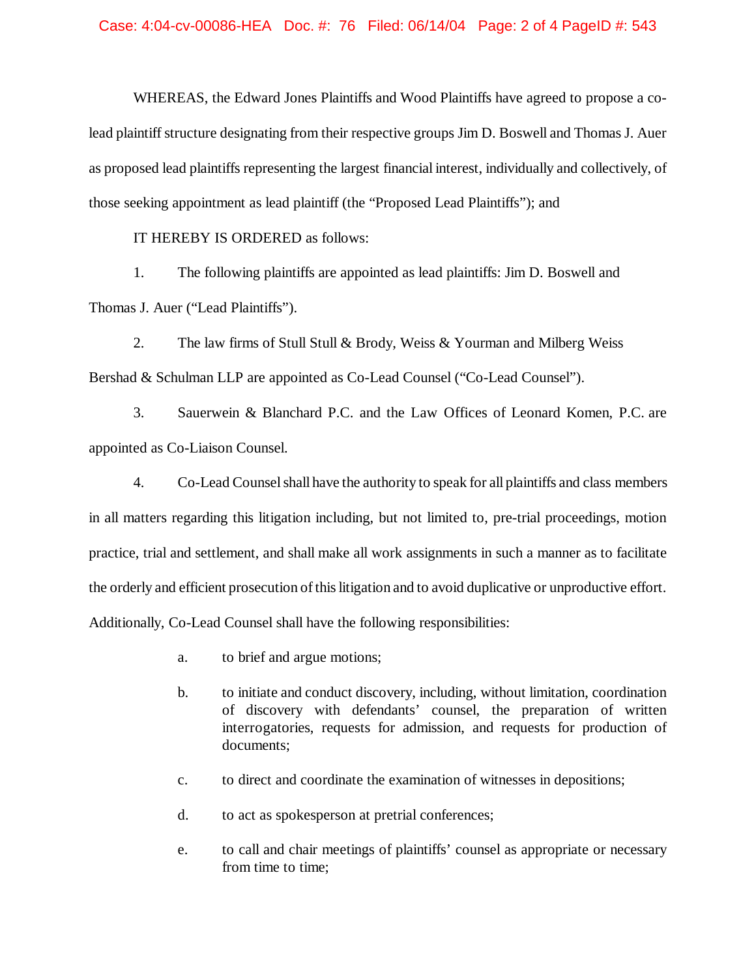WHEREAS, the Edward Jones Plaintiffs and Wood Plaintiffs have agreed to propose a colead plaintiffstructure designating from their respective groups Jim D. Boswell and Thomas J. Auer as proposed lead plaintiffs representing the largest financial interest, individually and collectively, of those seeking appointment as lead plaintiff (the "Proposed Lead Plaintiffs"); and

IT HEREBY IS ORDERED as follows:

1. The following plaintiffs are appointed as lead plaintiffs: Jim D. Boswell and Thomas J. Auer ("Lead Plaintiffs").

2. The law firms of Stull Stull & Brody, Weiss & Yourman and Milberg Weiss Bershad & Schulman LLP are appointed as Co-Lead Counsel ("Co-Lead Counsel").

3. Sauerwein & Blanchard P.C. and the Law Offices of Leonard Komen, P.C. are appointed as Co-Liaison Counsel.

4. Co-Lead Counselshall have the authority to speak for all plaintiffs and class members in all matters regarding this litigation including, but not limited to, pre-trial proceedings, motion practice, trial and settlement, and shall make all work assignments in such a manner as to facilitate the orderly and efficient prosecution ofthislitigation and to avoid duplicative or unproductive effort. Additionally, Co-Lead Counsel shall have the following responsibilities:

- a. to brief and argue motions;
- b. to initiate and conduct discovery, including, without limitation, coordination of discovery with defendants' counsel, the preparation of written interrogatories, requests for admission, and requests for production of documents;
- c. to direct and coordinate the examination of witnesses in depositions;
- d. to act as spokesperson at pretrial conferences;
- e. to call and chair meetings of plaintiffs' counsel as appropriate or necessary from time to time;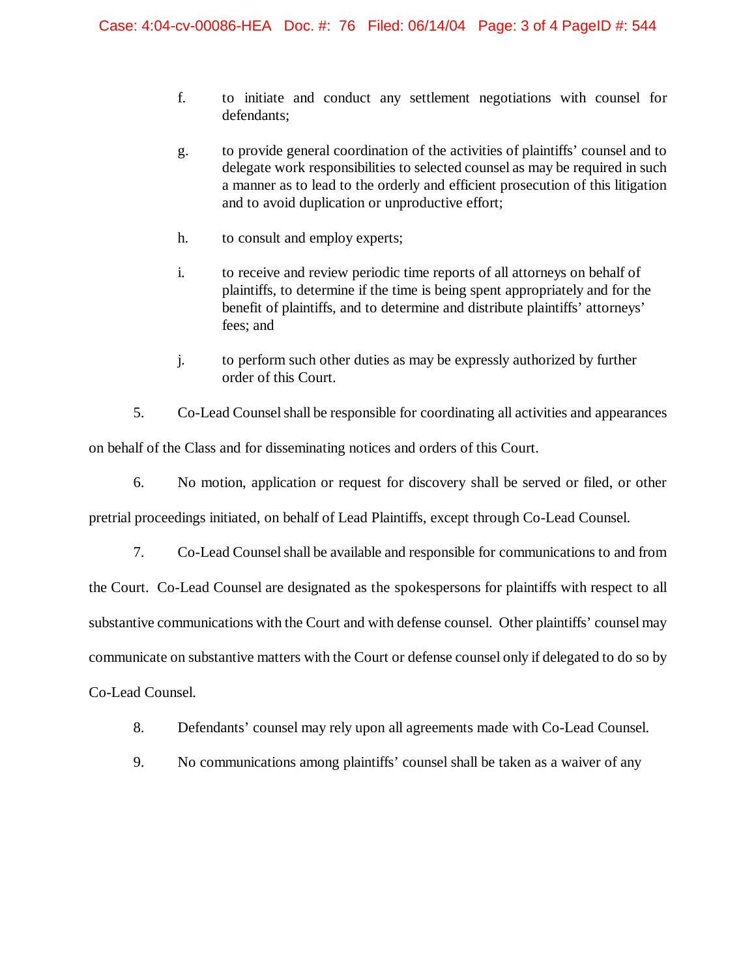- f. to initiate and conduct any settlement negotiations with counsel for defendants;
- g. to provide general coordination of the activities of plaintiffs' counsel and to delegate work responsibilities to selected counsel as may be required in such a manner as to lead to the orderly and efficient prosecution of this litigation and to avoid duplication or unproductive effort;
- h. to consult and employ experts;
- i. to receive and review periodic time reports of all attorneys on behalf of plaintiffs, to determine if the time is being spent appropriately and for the benefit of plaintiffs, and to determine and distribute plaintiffs' attorneys' fees; and
- j. to perform such other duties as may be expressly authorized by further order of this Court.
- 5. Co-Lead Counsel shall be responsible for coordinating all activities and appearances

on behalf of the Class and for disseminating notices and orders of this Court.

6. No motion, application or request for discovery shall be served or filed, or other

pretrial proceedings initiated, on behalf of Lead Plaintiffs, except through Co-Lead Counsel.

7. Co-Lead Counselshall be available and responsible for communications to and from

the Court. Co-Lead Counsel are designated as the spokespersons for plaintiffs with respect to all substantive communications with the Court and with defense counsel. Other plaintiffs' counsel may communicate on substantive matters with the Court or defense counsel only if delegated to do so by Co-Lead Counsel.

- 8. Defendants' counsel may rely upon all agreements made with Co-Lead Counsel.
- 9. No communications among plaintiffs' counsel shall be taken as a waiver of any